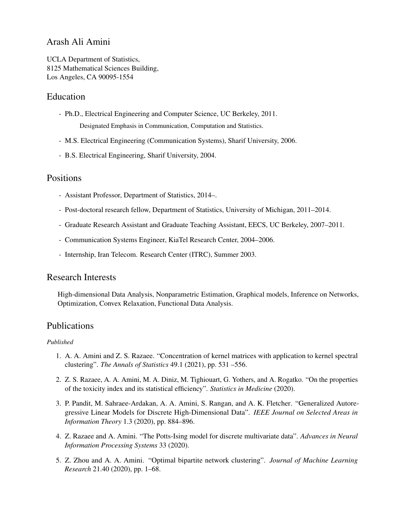## Arash Ali Amini

UCLA Department of Statistics, 8125 Mathematical Sciences Building, Los Angeles, CA 90095-1554

## Education

- Ph.D., Electrical Engineering and Computer Science, UC Berkeley, 2011. Designated Emphasis in Communication, Computation and Statistics.
- M.S. Electrical Engineering (Communication Systems), Sharif University, 2006.
- B.S. Electrical Engineering, Sharif University, 2004.

## **Positions**

- Assistant Professor, Department of Statistics, 2014–.
- Post-doctoral research fellow, Department of Statistics, University of Michigan, 2011–2014.
- Graduate Research Assistant and Graduate Teaching Assistant, EECS, UC Berkeley, 2007–2011.
- Communication Systems Engineer, KiaTel Research Center, 2004–2006.
- Internship, Iran Telecom. Research Center (ITRC), Summer 2003.

## Research Interests

High-dimensional Data Analysis, Nonparametric Estimation, Graphical models, Inference on Networks, Optimization, Convex Relaxation, Functional Data Analysis.

## Publications

#### *Published*

- 1. A. A. Amini and Z. S. Razaee. "Concentration of kernel matrices with application to kernel spectral clustering". *The Annals of Statistics* 49.1 (2021), pp. 531 –556.
- 2. Z. S. Razaee, A. A. Amini, M. A. Diniz, M. Tighiouart, G. Yothers, and A. Rogatko. "On the properties of the toxicity index and its statistical efficiency". *Statistics in Medicine* (2020).
- 3. P. Pandit, M. Sahraee-Ardakan, A. A. Amini, S. Rangan, and A. K. Fletcher. "Generalized Autoregressive Linear Models for Discrete High-Dimensional Data". *IEEE Journal on Selected Areas in Information Theory* 1.3 (2020), pp. 884–896.
- 4. Z. Razaee and A. Amini. "The Potts-Ising model for discrete multivariate data". *Advances in Neural Information Processing Systems* 33 (2020).
- 5. Z. Zhou and A. A. Amini. "Optimal bipartite network clustering". *Journal of Machine Learning Research* 21.40 (2020), pp. 1–68.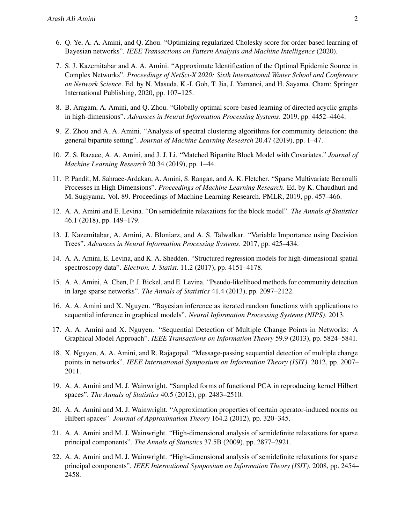- 6. Q. Ye, A. A. Amini, and Q. Zhou. "Optimizing regularized Cholesky score for order-based learning of Bayesian networks". *IEEE Transactions on Pattern Analysis and Machine Intelligence* (2020).
- 7. S. J. Kazemitabar and A. A. Amini. "Approximate Identification of the Optimal Epidemic Source in Complex Networks". *Proceedings of NetSci-X 2020: Sixth International Winter School and Conference on Network Science*. Ed. by N. Masuda, K.-I. Goh, T. Jia, J. Yamanoi, and H. Sayama. Cham: Springer International Publishing, 2020, pp. 107–125.
- 8. B. Aragam, A. Amini, and Q. Zhou. "Globally optimal score-based learning of directed acyclic graphs in high-dimensions". *Advances in Neural Information Processing Systems*. 2019, pp. 4452–4464.
- 9. Z. Zhou and A. A. Amini. "Analysis of spectral clustering algorithms for community detection: the general bipartite setting". *Journal of Machine Learning Research* 20.47 (2019), pp. 1–47.
- 10. Z. S. Razaee, A. A. Amini, and J. J. Li. "Matched Bipartite Block Model with Covariates." *Journal of Machine Learning Research* 20.34 (2019), pp. 1–44.
- 11. P. Pandit, M. Sahraee-Ardakan, A. Amini, S. Rangan, and A. K. Fletcher. "Sparse Multivariate Bernoulli Processes in High Dimensions". *Proceedings of Machine Learning Research*. Ed. by K. Chaudhuri and M. Sugiyama. Vol. 89. Proceedings of Machine Learning Research. PMLR, 2019, pp. 457–466.
- 12. A. A. Amini and E. Levina. "On semidefinite relaxations for the block model". *The Annals of Statistics* 46.1 (2018), pp. 149–179.
- 13. J. Kazemitabar, A. Amini, A. Bloniarz, and A. S. Talwalkar. "Variable Importance using Decision Trees". *Advances in Neural Information Processing Systems*. 2017, pp. 425–434.
- 14. A. A. Amini, E. Levina, and K. A. Shedden. "Structured regression models for high-dimensional spatial spectroscopy data". *Electron. J. Statist.* 11.2 (2017), pp. 4151–4178.
- 15. A. A. Amini, A. Chen, P. J. Bickel, and E. Levina. "Pseudo-likelihood methods for community detection in large sparse networks". *The Annals of Statistics* 41.4 (2013), pp. 2097–2122.
- 16. A. A. Amini and X. Nguyen. "Bayesian inference as iterated random functions with applications to sequential inference in graphical models". *Neural Information Processing Systems (NIPS)*. 2013.
- 17. A. A. Amini and X. Nguyen. "Sequential Detection of Multiple Change Points in Networks: A Graphical Model Approach". *IEEE Transactions on Information Theory* 59.9 (2013), pp. 5824–5841.
- 18. X. Nguyen, A. A. Amini, and R. Rajagopal. "Message-passing sequential detection of multiple change points in networks". *IEEE International Symposium on Information Theory (ISIT)*. 2012, pp. 2007– 2011.
- 19. A. A. Amini and M. J. Wainwright. "Sampled forms of functional PCA in reproducing kernel Hilbert spaces". *The Annals of Statistics* 40.5 (2012), pp. 2483–2510.
- 20. A. A. Amini and M. J. Wainwright. "Approximation properties of certain operator-induced norms on Hilbert spaces". *Journal of Approximation Theory* 164.2 (2012), pp. 320–345.
- 21. A. A. Amini and M. J. Wainwright. "High-dimensional analysis of semidefinite relaxations for sparse principal components". *The Annals of Statistics* 37.5B (2009), pp. 2877–2921.
- 22. A. A. Amini and M. J. Wainwright. "High-dimensional analysis of semidefinite relaxations for sparse principal components". *IEEE International Symposium on Information Theory (ISIT)*. 2008, pp. 2454– 2458.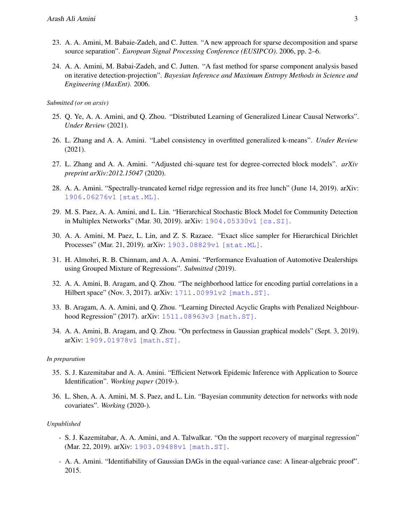- 23. A. A. Amini, M. Babaie-Zadeh, and C. Jutten. "A new approach for sparse decomposition and sparse source separation". *European Signal Processing Conference (EUSIPCO)*. 2006, pp. 2–6.
- 24. A. A. Amini, M. Babai-Zadeh, and C. Jutten. "A fast method for sparse component analysis based on iterative detection-projection". *Bayesian Inference and Maximum Entropy Methods in Science and Engineering (MaxEnt)*. 2006.

*Submitted (or on arxiv)*

- 25. Q. Ye, A. A. Amini, and Q. Zhou. "Distributed Learning of Generalized Linear Causal Networks". *Under Review* (2021).
- 26. L. Zhang and A. A. Amini. "Label consistency in overfitted generalized k-means". *Under Review* (2021).
- 27. L. Zhang and A. A. Amini. "Adjusted chi-square test for degree-corrected block models". *arXiv preprint arXiv:2012.15047* (2020).
- 28. A. A. Amini. "Spectrally-truncated kernel ridge regression and its free lunch" (June 14, 2019). arXiv: [1906.06276v1 \[stat.ML\]](https://arxiv.org/abs/1906.06276v1).
- 29. M. S. Paez, A. A. Amini, and L. Lin. "Hierarchical Stochastic Block Model for Community Detection in Multiplex Networks" (Mar. 30, 2019). arXiv: [1904.05330v1 \[cs.SI\]](https://arxiv.org/abs/1904.05330v1).
- 30. A. A. Amini, M. Paez, L. Lin, and Z. S. Razaee. "Exact slice sampler for Hierarchical Dirichlet Processes" (Mar. 21, 2019). arXiv: [1903.08829v1 \[stat.ML\]](https://arxiv.org/abs/1903.08829v1).
- 31. H. Almohri, R. B. Chinnam, and A. A. Amini. "Performance Evaluation of Automotive Dealerships using Grouped Mixture of Regressions". *Submitted* (2019).
- 32. A. A. Amini, B. Aragam, and Q. Zhou. "The neighborhood lattice for encoding partial correlations in a Hilbert space" (Nov. 3, 2017). arXiv: [1711.00991v2 \[math.ST\]](https://arxiv.org/abs/1711.00991v2).
- 33. B. Aragam, A. A. Amini, and Q. Zhou. "Learning Directed Acyclic Graphs with Penalized Neighbourhood Regression" (2017). arXiv: [1511.08963v3 \[math.ST\]](https://arxiv.org/abs/1511.08963v3).
- 34. A. A. Amini, B. Aragam, and Q. Zhou. "On perfectness in Gaussian graphical models" (Sept. 3, 2019). arXiv: [1909.01978v1 \[math.ST\]](https://arxiv.org/abs/1909.01978v1).

#### *In preparation*

- 35. S. J. Kazemitabar and A. A. Amini. "Efficient Network Epidemic Inference with Application to Source Identification". *Working paper* (2019-).
- 36. L. Shen, A. A. Amini, M. S. Paez, and L. Lin. "Bayesian community detection for networks with node covariates". *Working* (2020-).

#### *Unpublished*

- S. J. Kazemitabar, A. A. Amini, and A. Talwalkar. "On the support recovery of marginal regression" (Mar. 22, 2019). arXiv: [1903.09488v1 \[math.ST\]](https://arxiv.org/abs/1903.09488v1).
- A. A. Amini. "Identifiability of Gaussian DAGs in the equal-variance case: A linear-algebraic proof". 2015.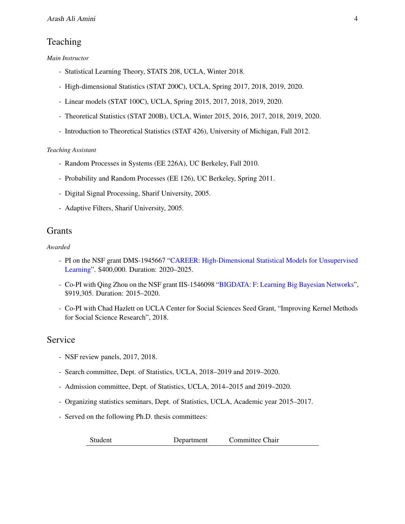## Teaching

*Main Instructor*

- Statistical Learning Theory, STATS 208, UCLA, Winter 2018.
- High-dimensional Statistics (STAT 200C), UCLA, Spring 2017, 2018, 2019, 2020.
- Linear models (STAT 100C), UCLA, Spring 2015, 2017, 2018, 2019, 2020.
- Theoretical Statistics (STAT 200B), UCLA, Winter 2015, 2016, 2017, 2018, 2019, 2020.
- Introduction to Theoretical Statistics (STAT 426), University of Michigan, Fall 2012.

#### *Teaching Assistant*

- Random Processes in Systems (EE 226A), UC Berkeley, Fall 2010.
- Probability and Random Processes (EE 126), UC Berkeley, Spring 2011.
- Digital Signal Processing, Sharif University, 2005.
- Adaptive Filters, Sharif University, 2005.

## **Grants**

#### *Awarded*

- PI on the NSF grant DMS-1945667 ["CAREER: High-Dimensional Statistical Models for Unsupervised](https://www.nsf.gov/awardsearch/showAward?AWD_ID=1945667) [Learning"](https://www.nsf.gov/awardsearch/showAward?AWD_ID=1945667). \$400,000. Duration: 2020–2025.
- Co-PI with Qing Zhou on the NSF grant IIS-1546098 ["BIGDATA: F: Learning Big Bayesian Networks"](https://www.nsf.gov/awardsearch/showAward?AWD_ID=1546098&HistoricalAwards=false), \$919,305. Duration: 2015–2020.
- Co-PI with Chad Hazlett on UCLA Center for Social Sciences Seed Grant, "Improving Kernel Methods for Social Science Research", 2018.

## Service

- NSF review panels, 2017, 2018.
- Search committee, Dept. of Statistics, UCLA, 2018–2019 and 2019–2020.
- Admission committee, Dept. of Statistics, UCLA, 2014–2015 and 2019–2020.
- Organizing statistics seminars, Dept. of Statistics, UCLA, Academic year 2015–2017.
- Served on the following Ph.D. thesis committees:

| Student | Department | Committee Chair |  |
|---------|------------|-----------------|--|
|---------|------------|-----------------|--|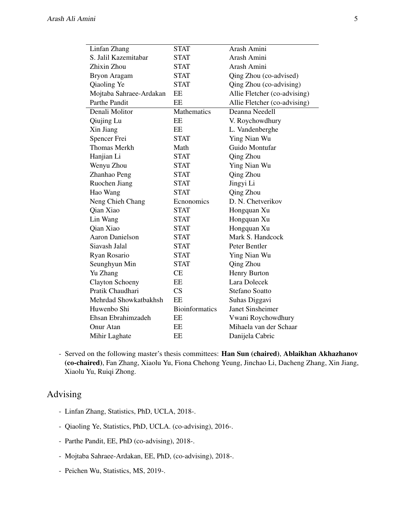| Linfan Zhang            | <b>STAT</b>           | Arash Amini                  |
|-------------------------|-----------------------|------------------------------|
| S. Jalil Kazemitabar    | <b>STAT</b>           | Arash Amini                  |
| Zhixin Zhou             | <b>STAT</b>           | Arash Amini                  |
| Bryon Aragam            | <b>STAT</b>           | Qing Zhou (co-advised)       |
| Qiaoling Ye             | <b>STAT</b>           | Qing Zhou (co-advising)      |
| Mojtaba Sahraee-Ardakan | EE                    | Allie Fletcher (co-advising) |
| Parthe Pandit           | EE                    | Allie Fletcher (co-advising) |
| Denali Molitor          | Mathematics           | Deanna Needell               |
| Qiujing Lu              | EE                    | V. Roychowdhury              |
| Xin Jiang               | EE                    | L. Vandenberghe              |
| Spencer Frei            | <b>STAT</b>           | Ying Nian Wu                 |
| <b>Thomas Merkh</b>     | Math                  | Guido Montufar               |
| Hanjian Li              | <b>STAT</b>           | Qing Zhou                    |
| Wenyu Zhou              | <b>STAT</b>           | Ying Nian Wu                 |
| Zhanhao Peng            | <b>STAT</b>           | Qing Zhou                    |
| Ruochen Jiang           | <b>STAT</b>           | Jingyi Li                    |
| Hao Wang                | <b>STAT</b>           | Qing Zhou                    |
| Neng Chieh Chang        | Ecnonomics            | D. N. Chetverikov            |
| Qian Xiao               | <b>STAT</b>           | Hongquan Xu                  |
| Lin Wang                | <b>STAT</b>           | Hongquan Xu                  |
| Qian Xiao               | <b>STAT</b>           | Hongquan Xu                  |
| <b>Aaron Danielson</b>  | <b>STAT</b>           | Mark S. Handcock             |
| Siavash Jalal           | <b>STAT</b>           | Peter Bentler                |
| Ryan Rosario            | <b>STAT</b>           | Ying Nian Wu                 |
| Seunghyun Min           | <b>STAT</b>           | Qing Zhou                    |
| Yu Zhang                | <b>CE</b>             | Henry Burton                 |
| <b>Clayton Schoeny</b>  | EE                    | Lara Dolecek                 |
| Pratik Chaudhari        | CS                    | <b>Stefano Soatto</b>        |
| Mehrdad Showkatbakhsh   | EE                    | Suhas Diggavi                |
| Huwenbo Shi             | <b>Bioinformatics</b> | Janet Sinsheimer             |
| Ehsan Ebrahimzadeh      | EE                    | Vwani Roychowdhury           |
| Onur Atan               | EE                    | Mihaela van der Schaar       |
| Mihir Laghate           | EΕ                    | Danijela Cabric              |

- Served on the following master's thesis committees: Han Sun (chaired), Ablaikhan Akhazhanov (co-chaired), Fan Zhang, Xiaolu Yu, Fiona Chehong Yeung, Jinchao Li, Dacheng Zhang, Xin Jiang, Xiaolu Yu, Ruiqi Zhong.

## Advising

- Linfan Zhang, Statistics, PhD, UCLA, 2018-.
- Qiaoling Ye, Statistics, PhD, UCLA. (co-advising), 2016-.
- Parthe Pandit, EE, PhD (co-advising), 2018-.
- Mojtaba Sahraee-Ardakan, EE, PhD, (co-advising), 2018-.
- Peichen Wu, Statistics, MS, 2019-.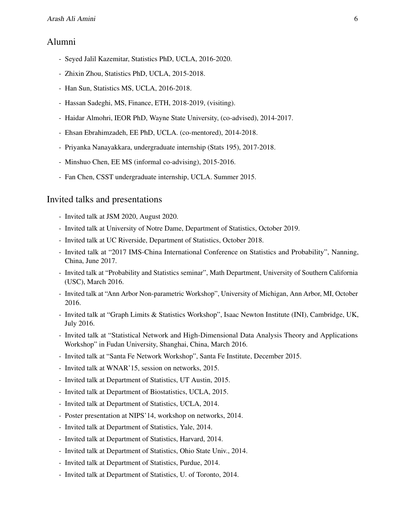### Alumni

- Seyed Jalil Kazemitar, Statistics PhD, UCLA, 2016-2020.
- Zhixin Zhou, Statistics PhD, UCLA, 2015-2018.
- Han Sun, Statistics MS, UCLA, 2016-2018.
- Hassan Sadeghi, MS, Finance, ETH, 2018-2019, (visiting).
- Haidar Almohri, IEOR PhD, Wayne State University, (co-advised), 2014-2017.
- Ehsan Ebrahimzadeh, EE PhD, UCLA. (co-mentored), 2014-2018.
- Priyanka Nanayakkara, undergraduate internship (Stats 195), 2017-2018.
- Minshuo Chen, EE MS (informal co-advising), 2015-2016.
- Fan Chen, CSST undergraduate internship, UCLA. Summer 2015.

#### Invited talks and presentations

- Invited talk at JSM 2020, August 2020.
- Invited talk at University of Notre Dame, Department of Statistics, October 2019.
- Invited talk at UC Riverside, Department of Statistics, October 2018.
- Invited talk at "2017 IMS-China International Conference on Statistics and Probability", Nanning, China, June 2017.
- Invited talk at "Probability and Statistics seminar", Math Department, University of Southern California (USC), March 2016.
- Invited talk at "Ann Arbor Non-parametric Workshop", University of Michigan, Ann Arbor, MI, October 2016.
- Invited talk at "Graph Limits & Statistics Workshop", Isaac Newton Institute (INI), Cambridge, UK, July 2016.
- Invited talk at "Statistical Network and High-Dimensional Data Analysis Theory and Applications Workshop" in Fudan University, Shanghai, China, March 2016.
- Invited talk at "Santa Fe Network Workshop", Santa Fe Institute, December 2015.
- Invited talk at WNAR'15, session on networks, 2015.
- Invited talk at Department of Statistics, UT Austin, 2015.
- Invited talk at Department of Biostatistics, UCLA, 2015.
- Invited talk at Department of Statistics, UCLA, 2014.
- Poster presentation at NIPS'14, workshop on networks, 2014.
- Invited talk at Department of Statistics, Yale, 2014.
- Invited talk at Department of Statistics, Harvard, 2014.
- Invited talk at Department of Statistics, Ohio State Univ., 2014.
- Invited talk at Department of Statistics, Purdue, 2014.
- Invited talk at Department of Statistics, U. of Toronto, 2014.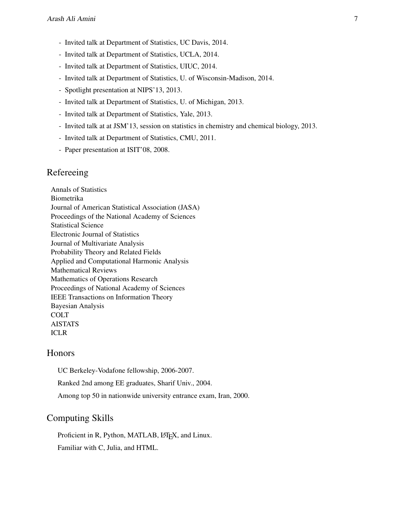- Invited talk at Department of Statistics, UC Davis, 2014.
- Invited talk at Department of Statistics, UCLA, 2014.
- Invited talk at Department of Statistics, UIUC, 2014.
- Invited talk at Department of Statistics, U. of Wisconsin-Madison, 2014.
- Spotlight presentation at NIPS'13, 2013.
- Invited talk at Department of Statistics, U. of Michigan, 2013.
- Invited talk at Department of Statistics, Yale, 2013.
- Invited talk at at JSM'13, session on statistics in chemistry and chemical biology, 2013.
- Invited talk at Department of Statistics, CMU, 2011.
- Paper presentation at ISIT'08, 2008.

## Refereeing

Annals of Statistics Biometrika Journal of American Statistical Association (JASA) Proceedings of the National Academy of Sciences Statistical Science Electronic Journal of Statistics Journal of Multivariate Analysis Probability Theory and Related Fields Applied and Computational Harmonic Analysis Mathematical Reviews Mathematics of Operations Research Proceedings of National Academy of Sciences IEEE Transactions on Information Theory Bayesian Analysis **COLT** AISTATS ICLR

## Honors

UC Berkeley-Vodafone fellowship, 2006-2007.

Ranked 2nd among EE graduates, Sharif Univ., 2004.

Among top 50 in nationwide university entrance exam, Iran, 2000.

## Computing Skills

Proficient in R, Python, MATLAB, LATEX, and Linux. Familiar with C, Julia, and HTML.